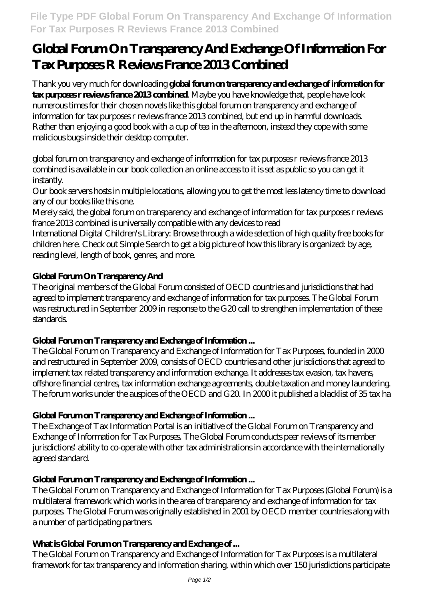# **Global Forum On Transparency And Exchange Of Information For Tax Purposes R Reviews France 2013 Combined**

Thank you very much for downloading **global forum on transparency and exchange of information for tax purposes r reviews france 2013 combined**. Maybe you have knowledge that, people have look numerous times for their chosen novels like this global forum on transparency and exchange of information for tax purposes r reviews france 2013 combined, but end up in harmful downloads. Rather than enjoying a good book with a cup of tea in the afternoon, instead they cope with some malicious bugs inside their desktop computer.

global forum on transparency and exchange of information for tax purposes r reviews france 2013 combined is available in our book collection an online access to it is set as public so you can get it instantly.

Our book servers hosts in multiple locations, allowing you to get the most less latency time to download any of our books like this one.

Merely said, the global forum on transparency and exchange of information for tax purposes r reviews france 2013 combined is universally compatible with any devices to read

International Digital Children's Library: Browse through a wide selection of high quality free books for children here. Check out Simple Search to get a big picture of how this library is organized: by age, reading level, length of book, genres, and more.

# **Global Forum On Transparency And**

The original members of the Global Forum consisted of OECD countries and jurisdictions that had agreed to implement transparency and exchange of information for tax purposes. The Global Forum was restructured in September 2009 in response to the G20 call to strengthen implementation of these standards.

# Global Forum on Transparency and Exchange of Information ...

The Global Forum on Transparency and Exchange of Information for Tax Purposes, founded in 2000 and restructured in September 2009, consists of OECD countries and other jurisdictions that agreed to implement tax related transparency and information exchange. It addresses tax evasion, tax havens, offshore financial centres, tax information exchange agreements, double taxation and money laundering. The forum works under the auspices of the OECD and G20. In 2000 it published a blacklist of 35 tax ha

# Global Forum on Transparency and Exchange of Information ...

The Exchange of Tax Information Portal is an initiative of the Global Forum on Transparency and Exchange of Information for Tax Purposes. The Global Forum conducts peer reviews of its member jurisdictions' ability to co-operate with other tax administrations in accordance with the internationally agreed standard.

# Global Forum on Transparency and Exchange of Information ...

The Global Forum on Transparency and Exchange of Information for Tax Purposes (Global Forum) is a multilateral framework which works in the area of transparency and exchange of information for tax purposes. The Global Forum was originally established in 2001 by OECD member countries along with a number of participating partners.

# What is Global Forum on Transparency and Exchange of ...

The Global Forum on Transparency and Exchange of Information for Tax Purposes is a multilateral framework for tax transparency and information sharing, within which over 150 jurisdictions participate